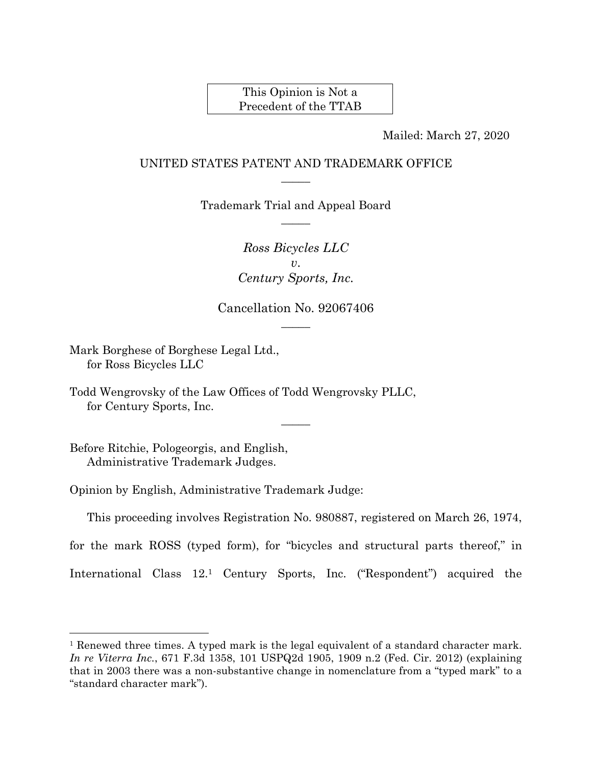This Opinion is Not a Precedent of the TTAB

Mailed: March 27, 2020

## UNITED STATES PATENT AND TRADEMARK OFFICE  $\overline{\phantom{a}}$

Trademark Trial and Appeal Board  $\overline{\phantom{a}}$ 

> *Ross Bicycles LLC v*. *Century Sports, Inc.*

Cancellation No. 92067406  $\overline{\phantom{a}}$ 

Mark Borghese of Borghese Legal Ltd., for Ross Bicycles LLC

Todd Wengrovsky of the Law Offices of Todd Wengrovsky PLLC, for Century Sports, Inc.

Before Ritchie, Pologeorgis, and English, Administrative Trademark Judges.

 $\overline{a}$ 

Opinion by English, Administrative Trademark Judge:

This proceeding involves Registration No. 980887, registered on March 26, 1974,

 $\overline{\phantom{a}}$ 

for the mark ROSS (typed form), for "bicycles and structural parts thereof," in

International Class 12.1 Century Sports, Inc. ("Respondent") acquired the

<sup>1</sup> Renewed three times. A typed mark is the legal equivalent of a standard character mark. *In re Viterra Inc.*, 671 F.3d 1358, 101 USPQ2d 1905, 1909 n.2 (Fed. Cir. 2012) (explaining that in 2003 there was a non-substantive change in nomenclature from a "typed mark" to a "standard character mark").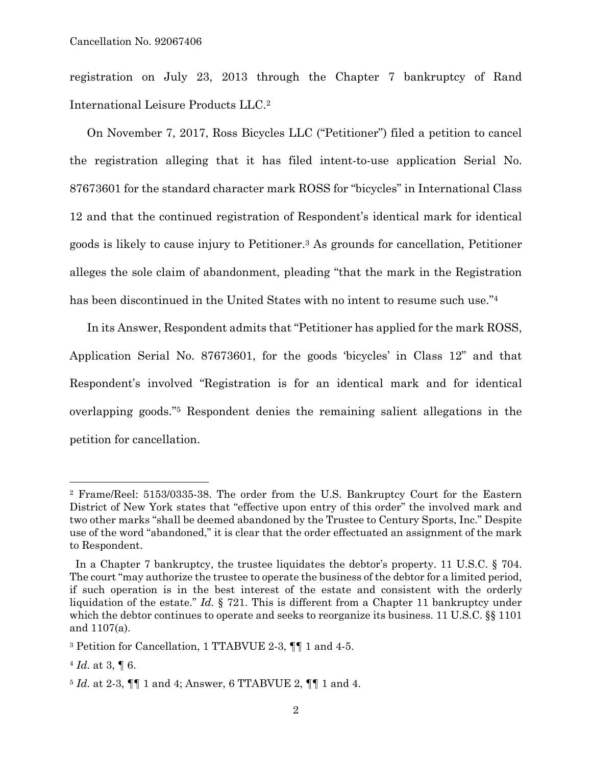registration on July 23, 2013 through the Chapter 7 bankruptcy of Rand International Leisure Products LLC.2

On November 7, 2017, Ross Bicycles LLC ("Petitioner") filed a petition to cancel the registration alleging that it has filed intent-to-use application Serial No. 87673601 for the standard character mark ROSS for "bicycles" in International Class 12 and that the continued registration of Respondent's identical mark for identical goods is likely to cause injury to Petitioner.3 As grounds for cancellation, Petitioner alleges the sole claim of abandonment, pleading "that the mark in the Registration has been discontinued in the United States with no intent to resume such use."<sup>4</sup>

In its Answer, Respondent admits that "Petitioner has applied for the mark ROSS, Application Serial No. 87673601, for the goods 'bicycles' in Class 12" and that Respondent's involved "Registration is for an identical mark and for identical overlapping goods."5 Respondent denies the remaining salient allegations in the petition for cancellation.

<sup>2</sup> Frame/Reel: 5153/0335-38. The order from the U.S. Bankruptcy Court for the Eastern District of New York states that "effective upon entry of this order" the involved mark and two other marks "shall be deemed abandoned by the Trustee to Century Sports, Inc." Despite use of the word "abandoned," it is clear that the order effectuated an assignment of the mark to Respondent.

In a Chapter 7 bankruptcy, the trustee liquidates the debtor's property. 11 U.S.C. § 704. The court "may authorize the trustee to operate the business of the debtor for a limited period, if such operation is in the best interest of the estate and consistent with the orderly liquidation of the estate." *Id.* § 721. This is different from a Chapter 11 bankruptcy under which the debtor continues to operate and seeks to reorganize its business. 11 U.S.C. §§ 1101 and 1107(a).

<sup>3</sup> Petition for Cancellation, 1 TTABVUE 2-3, ¶¶ 1 and 4-5.

<sup>4</sup> *Id.* at 3, ¶ 6.

<sup>5</sup> *Id.* at 2-3, ¶¶ 1 and 4; Answer, 6 TTABVUE 2, ¶¶ 1 and 4.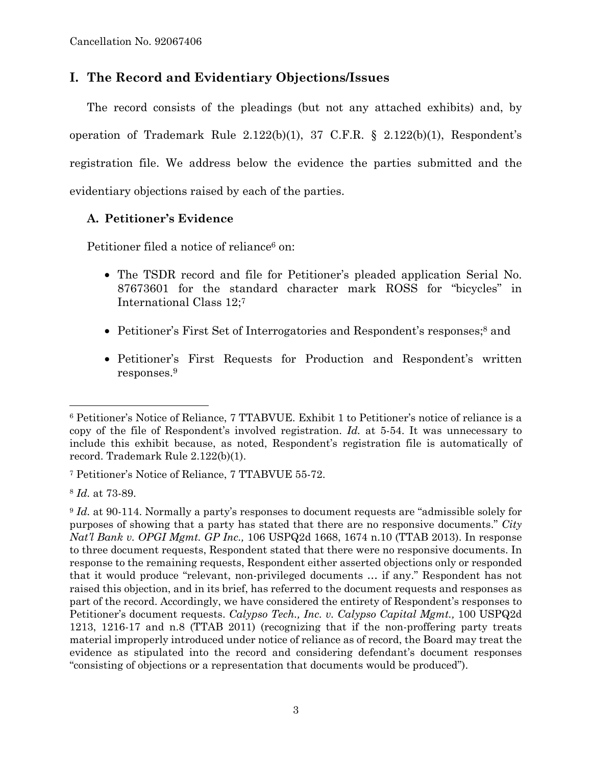# **I. The Record and Evidentiary Objections/Issues**

The record consists of the pleadings (but not any attached exhibits) and, by operation of Trademark Rule 2.122(b)(1), 37 C.F.R. § 2.122(b)(1), Respondent's registration file. We address below the evidence the parties submitted and the evidentiary objections raised by each of the parties.

## **A. Petitioner's Evidence**

Petitioner filed a notice of reliance<sup>6</sup> on:

- The TSDR record and file for Petitioner's pleaded application Serial No. 87673601 for the standard character mark ROSS for "bicycles" in International Class 12;7
- Petitioner's First Set of Interrogatories and Respondent's responses;<sup>8</sup> and
- Petitioner's First Requests for Production and Respondent's written responses.9

<sup>6</sup> Petitioner's Notice of Reliance, 7 TTABVUE. Exhibit 1 to Petitioner's notice of reliance is a copy of the file of Respondent's involved registration. *Id.* at 5-54. It was unnecessary to include this exhibit because, as noted, Respondent's registration file is automatically of record. Trademark Rule 2.122(b)(1).

<sup>7</sup> Petitioner's Notice of Reliance, 7 TTABVUE 55-72.

<sup>8</sup> *Id.* at 73-89.

<sup>&</sup>lt;sup>9</sup> *Id.* at 90-114. Normally a party's responses to document requests are "admissible solely for purposes of showing that a party has stated that there are no responsive documents." *City Nat'l Bank v. OPGI Mgmt. GP Inc.,* 106 USPQ2d 1668, 1674 n.10 (TTAB 2013). In response to three document requests, Respondent stated that there were no responsive documents. In response to the remaining requests, Respondent either asserted objections only or responded that it would produce "relevant, non-privileged documents … if any." Respondent has not raised this objection, and in its brief, has referred to the document requests and responses as part of the record. Accordingly, we have considered the entirety of Respondent's responses to Petitioner's document requests. *Calypso Tech., Inc. v. Calypso Capital Mgmt.,* 100 USPQ2d 1213, 1216-17 and n.8 (TTAB 2011) (recognizing that if the non-proffering party treats material improperly introduced under notice of reliance as of record, the Board may treat the evidence as stipulated into the record and considering defendant's document responses "consisting of objections or a representation that documents would be produced").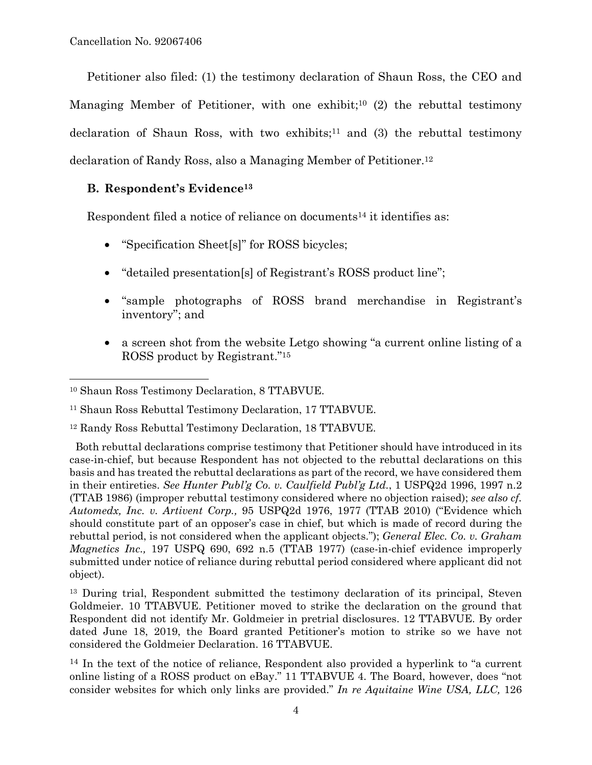Petitioner also filed: (1) the testimony declaration of Shaun Ross, the CEO and Managing Member of Petitioner, with one exhibit;<sup>10</sup> (2) the rebuttal testimony declaration of Shaun Ross, with two exhibits;<sup>11</sup> and (3) the rebuttal testimony declaration of Randy Ross, also a Managing Member of Petitioner.12

## **B. Respondent's Evidence13**

Respondent filed a notice of reliance on documents<sup>14</sup> it identifies as:

- "Specification Sheet[s]" for ROSS bicycles;
- "detailed presentation[s] of Registrant's ROSS product line";
- "sample photographs of ROSS brand merchandise in Registrant's inventory"; and
- a screen shot from the website Letgo showing "a current online listing of a ROSS product by Registrant."15

<sup>10</sup> Shaun Ross Testimony Declaration, 8 TTABVUE.

<sup>11</sup> Shaun Ross Rebuttal Testimony Declaration, 17 TTABVUE.

<sup>12</sup> Randy Ross Rebuttal Testimony Declaration, 18 TTABVUE.

Both rebuttal declarations comprise testimony that Petitioner should have introduced in its case-in-chief, but because Respondent has not objected to the rebuttal declarations on this basis and has treated the rebuttal declarations as part of the record, we have considered them in their entireties. *See Hunter Publ'g Co. v. Caulfield Publ'g Ltd.*, 1 USPQ2d 1996, 1997 n.2 (TTAB 1986) (improper rebuttal testimony considered where no objection raised); *see also cf. Automedx, Inc. v. Artivent Corp.,* 95 USPQ2d 1976, 1977 (TTAB 2010) ("Evidence which should constitute part of an opposer's case in chief, but which is made of record during the rebuttal period, is not considered when the applicant objects."); *General Elec. Co. v. Graham Magnetics Inc.,* 197 USPQ 690, 692 n.5 (TTAB 1977) (case-in-chief evidence improperly submitted under notice of reliance during rebuttal period considered where applicant did not object).

<sup>&</sup>lt;sup>13</sup> During trial, Respondent submitted the testimony declaration of its principal, Steven Goldmeier. 10 TTABVUE. Petitioner moved to strike the declaration on the ground that Respondent did not identify Mr. Goldmeier in pretrial disclosures. 12 TTABVUE. By order dated June 18, 2019, the Board granted Petitioner's motion to strike so we have not considered the Goldmeier Declaration. 16 TTABVUE.

<sup>&</sup>lt;sup>14</sup> In the text of the notice of reliance, Respondent also provided a hyperlink to "a current" online listing of a ROSS product on eBay." 11 TTABVUE 4. The Board, however, does "not consider websites for which only links are provided." *In re Aquitaine Wine USA, LLC,* 126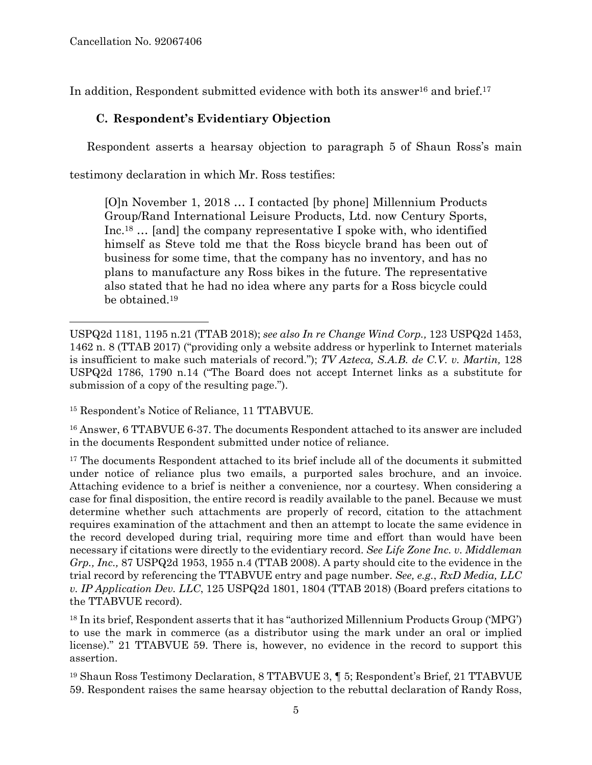1

In addition, Respondent submitted evidence with both its answer<sup>16</sup> and brief.<sup>17</sup>

# **C. Respondent's Evidentiary Objection**

Respondent asserts a hearsay objection to paragraph 5 of Shaun Ross's main

testimony declaration in which Mr. Ross testifies:

[O]n November 1, 2018 … I contacted [by phone] Millennium Products Group/Rand International Leisure Products, Ltd. now Century Sports, Inc.18 … [and] the company representative I spoke with, who identified himself as Steve told me that the Ross bicycle brand has been out of business for some time, that the company has no inventory, and has no plans to manufacture any Ross bikes in the future. The representative also stated that he had no idea where any parts for a Ross bicycle could be obtained.19

15 Respondent's Notice of Reliance, 11 TTABVUE.

16 Answer, 6 TTABVUE 6-37. The documents Respondent attached to its answer are included in the documents Respondent submitted under notice of reliance.

<sup>17</sup> The documents Respondent attached to its brief include all of the documents it submitted under notice of reliance plus two emails, a purported sales brochure, and an invoice. Attaching evidence to a brief is neither a convenience, nor a courtesy. When considering a case for final disposition, the entire record is readily available to the panel. Because we must determine whether such attachments are properly of record, citation to the attachment requires examination of the attachment and then an attempt to locate the same evidence in the record developed during trial, requiring more time and effort than would have been necessary if citations were directly to the evidentiary record. *See Life Zone Inc. v. Middleman Grp., Inc.,* 87 USPQ2d 1953, 1955 n.4 (TTAB 2008). A party should cite to the evidence in the trial record by referencing the TTABVUE entry and page number. *See, e.g.*, *RxD Media, LLC v. IP Application Dev. LLC*, 125 USPQ2d 1801, 1804 (TTAB 2018) (Board prefers citations to the TTABVUE record).

 $18$  In its brief, Respondent asserts that it has "authorized Millennium Products Group ('MPG') to use the mark in commerce (as a distributor using the mark under an oral or implied license)." 21 TTABVUE 59. There is, however, no evidence in the record to support this assertion.

19 Shaun Ross Testimony Declaration, 8 TTABVUE 3, ¶ 5; Respondent's Brief, 21 TTABVUE 59. Respondent raises the same hearsay objection to the rebuttal declaration of Randy Ross,

USPQ2d 1181, 1195 n.21 (TTAB 2018); *see also In re Change Wind Corp.,* 123 USPQ2d 1453, 1462 n. 8 (TTAB 2017) ("providing only a website address or hyperlink to Internet materials is insufficient to make such materials of record."); *TV Azteca, S.A.B. de C.V. v. Martin,* 128 USPQ2d 1786, 1790 n.14 ("The Board does not accept Internet links as a substitute for submission of a copy of the resulting page.").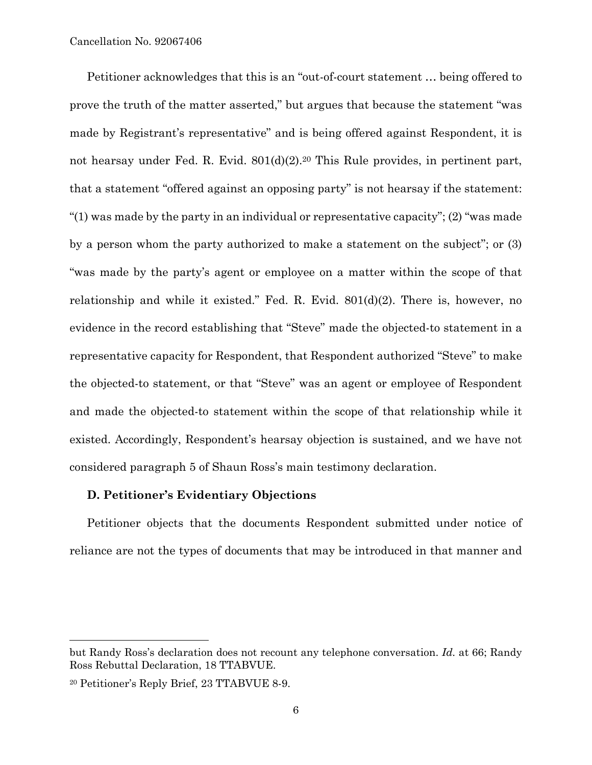Petitioner acknowledges that this is an "out-of-court statement … being offered to prove the truth of the matter asserted," but argues that because the statement "was made by Registrant's representative" and is being offered against Respondent, it is not hearsay under Fed. R. Evid. 801(d)(2).<sup>20</sup> This Rule provides, in pertinent part, that a statement "offered against an opposing party" is not hearsay if the statement: "(1) was made by the party in an individual or representative capacity"; (2) "was made by a person whom the party authorized to make a statement on the subject"; or (3) "was made by the party's agent or employee on a matter within the scope of that relationship and while it existed." Fed. R. Evid. 801(d)(2). There is, however, no evidence in the record establishing that "Steve" made the objected-to statement in a representative capacity for Respondent, that Respondent authorized "Steve" to make the objected-to statement, or that "Steve" was an agent or employee of Respondent and made the objected-to statement within the scope of that relationship while it existed. Accordingly, Respondent's hearsay objection is sustained, and we have not considered paragraph 5 of Shaun Ross's main testimony declaration.

### **D. Petitioner's Evidentiary Objections**

Petitioner objects that the documents Respondent submitted under notice of reliance are not the types of documents that may be introduced in that manner and

l

but Randy Ross's declaration does not recount any telephone conversation. *Id.* at 66; Randy Ross Rebuttal Declaration, 18 TTABVUE.

<sup>20</sup> Petitioner's Reply Brief, 23 TTABVUE 8-9.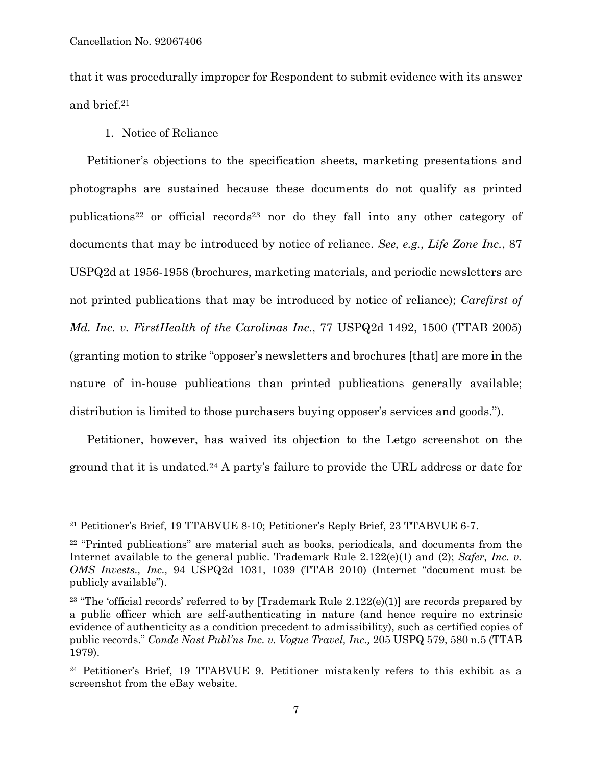$\overline{a}$ 

that it was procedurally improper for Respondent to submit evidence with its answer and brief.21

1. Notice of Reliance

Petitioner's objections to the specification sheets, marketing presentations and photographs are sustained because these documents do not qualify as printed publications22 or official records23 nor do they fall into any other category of documents that may be introduced by notice of reliance. *See, e.g.*, *Life Zone Inc.*, 87 USPQ2d at 1956-1958 (brochures, marketing materials, and periodic newsletters are not printed publications that may be introduced by notice of reliance); *Carefirst of Md. Inc. v. FirstHealth of the Carolinas Inc.*, 77 USPQ2d 1492, 1500 (TTAB 2005) (granting motion to strike "opposer's newsletters and brochures [that] are more in the nature of in-house publications than printed publications generally available; distribution is limited to those purchasers buying opposer's services and goods.").

Petitioner, however, has waived its objection to the Letgo screenshot on the ground that it is undated.24 A party's failure to provide the URL address or date for

<sup>21</sup> Petitioner's Brief, 19 TTABVUE 8-10; Petitioner's Reply Brief, 23 TTABVUE 6-7.

<sup>22 &</sup>quot;Printed publications" are material such as books, periodicals, and documents from the Internet available to the general public. Trademark Rule 2.122(e)(1) and (2); *Safer, Inc. v. OMS Invests., Inc.,* 94 USPQ2d 1031, 1039 (TTAB 2010) (Internet "document must be publicly available").

<sup>&</sup>lt;sup>23</sup> "The 'official records' referred to by [Trademark Rule  $2.122(e)(1)$ ] are records prepared by a public officer which are self-authenticating in nature (and hence require no extrinsic evidence of authenticity as a condition precedent to admissibility), such as certified copies of public records." *Conde Nast Publ'ns Inc. v. Vogue Travel, Inc.,* 205 USPQ 579, 580 n.5 (TTAB 1979).

<sup>24</sup> Petitioner's Brief, 19 TTABVUE 9. Petitioner mistakenly refers to this exhibit as a screenshot from the eBay website.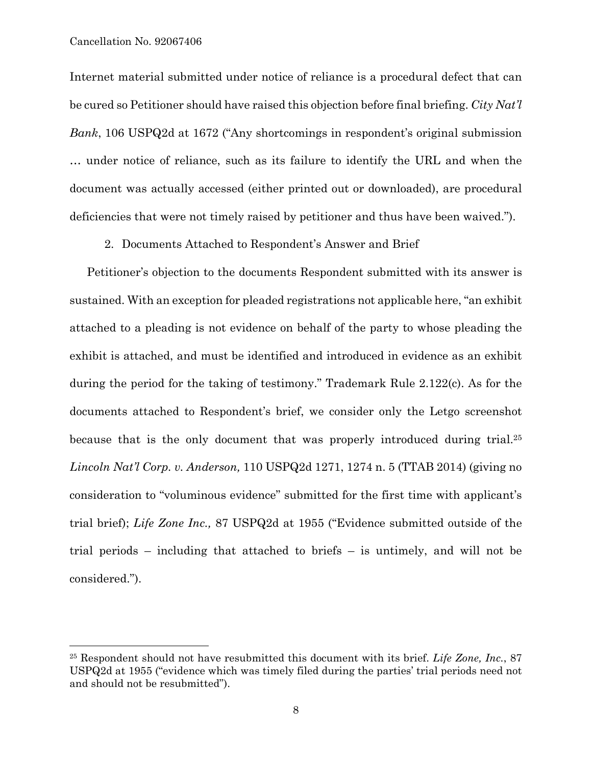#### Cancellation No. 92067406

 $\overline{a}$ 

Internet material submitted under notice of reliance is a procedural defect that can be cured so Petitioner should have raised this objection before final briefing. *City Nat'l Bank*, 106 USPQ2d at 1672 ("Any shortcomings in respondent's original submission … under notice of reliance, such as its failure to identify the URL and when the document was actually accessed (either printed out or downloaded), are procedural deficiencies that were not timely raised by petitioner and thus have been waived.").

2. Documents Attached to Respondent's Answer and Brief

Petitioner's objection to the documents Respondent submitted with its answer is sustained. With an exception for pleaded registrations not applicable here, "an exhibit attached to a pleading is not evidence on behalf of the party to whose pleading the exhibit is attached, and must be identified and introduced in evidence as an exhibit during the period for the taking of testimony." Trademark Rule 2.122(c). As for the documents attached to Respondent's brief, we consider only the Letgo screenshot because that is the only document that was properly introduced during trial.<sup>25</sup> *Lincoln Nat'l Corp. v. Anderson,* 110 USPQ2d 1271, 1274 n. 5 (TTAB 2014) (giving no consideration to "voluminous evidence" submitted for the first time with applicant's trial brief); *Life Zone Inc.,* 87 USPQ2d at 1955 ("Evidence submitted outside of the trial periods – including that attached to briefs – is untimely, and will not be considered.").

<sup>25</sup> Respondent should not have resubmitted this document with its brief. *Life Zone, Inc.*, 87 USPQ2d at 1955 ("evidence which was timely filed during the parties' trial periods need not and should not be resubmitted").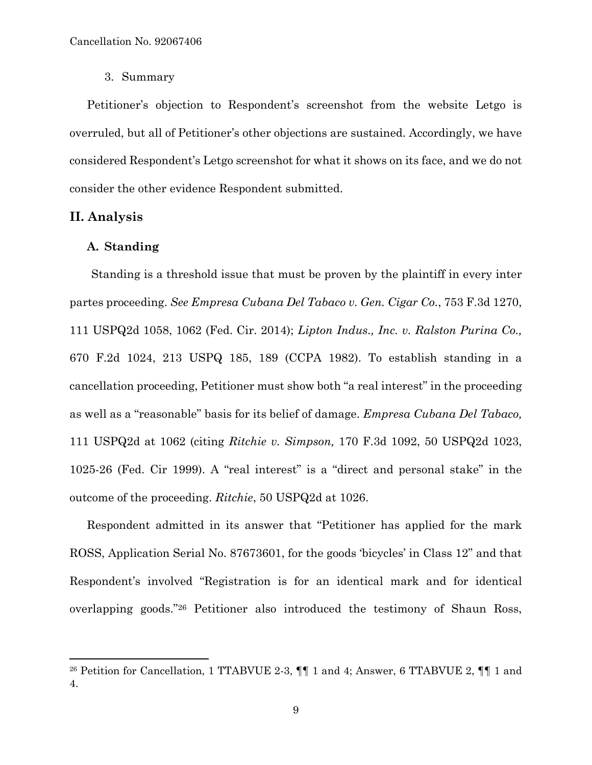3. Summary

Petitioner's objection to Respondent's screenshot from the website Letgo is overruled, but all of Petitioner's other objections are sustained. Accordingly, we have considered Respondent's Letgo screenshot for what it shows on its face, and we do not consider the other evidence Respondent submitted.

## **II. Analysis**

 $\overline{a}$ 

### **A. Standing**

Standing is a threshold issue that must be proven by the plaintiff in every inter partes proceeding. *See Empresa Cubana Del Tabaco v. Gen. Cigar Co.*, 753 F.3d 1270, 111 USPQ2d 1058, 1062 (Fed. Cir. 2014); *Lipton Indus., Inc. v. Ralston Purina Co.,*  670 F.2d 1024, 213 USPQ 185, 189 (CCPA 1982). To establish standing in a cancellation proceeding, Petitioner must show both "a real interest" in the proceeding as well as a "reasonable" basis for its belief of damage. *Empresa Cubana Del Tabaco,* 111 USPQ2d at 1062 (citing *Ritchie v. Simpson,* 170 F.3d 1092, 50 USPQ2d 1023, 1025-26 (Fed. Cir 1999). A "real interest" is a "direct and personal stake" in the outcome of the proceeding. *Ritchie*, 50 USPQ2d at 1026.

Respondent admitted in its answer that "Petitioner has applied for the mark ROSS, Application Serial No. 87673601, for the goods 'bicycles' in Class 12" and that Respondent's involved "Registration is for an identical mark and for identical overlapping goods."26 Petitioner also introduced the testimony of Shaun Ross,

<sup>26</sup> Petition for Cancellation, 1 TTABVUE 2-3, ¶¶ 1 and 4; Answer, 6 TTABVUE 2, ¶¶ 1 and 4.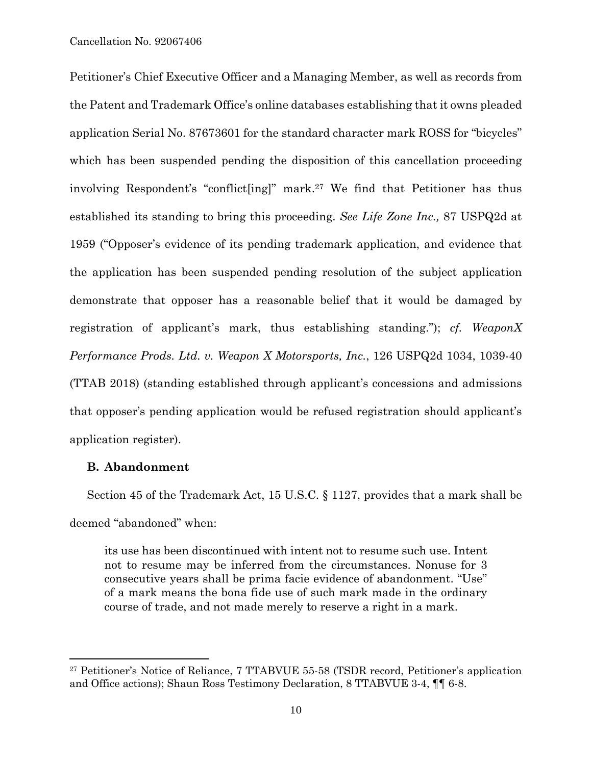Petitioner's Chief Executive Officer and a Managing Member, as well as records from the Patent and Trademark Office's online databases establishing that it owns pleaded application Serial No. 87673601 for the standard character mark ROSS for "bicycles" which has been suspended pending the disposition of this cancellation proceeding involving Respondent's "conflict[ing]" mark.27 We find that Petitioner has thus established its standing to bring this proceeding. *See Life Zone Inc.,* 87 USPQ2d at 1959 ("Opposer's evidence of its pending trademark application, and evidence that the application has been suspended pending resolution of the subject application demonstrate that opposer has a reasonable belief that it would be damaged by registration of applicant's mark, thus establishing standing."); *cf. WeaponX Performance Prods. Ltd. v. Weapon X Motorsports, Inc.*, 126 USPQ2d 1034, 1039-40 (TTAB 2018) (standing established through applicant's concessions and admissions that opposer's pending application would be refused registration should applicant's application register).

## **B. Abandonment**

 $\overline{a}$ 

Section 45 of the Trademark Act, 15 U.S.C. § 1127, provides that a mark shall be deemed "abandoned" when:

its use has been discontinued with intent not to resume such use. Intent not to resume may be inferred from the circumstances. Nonuse for 3 consecutive years shall be prima facie evidence of abandonment. "Use" of a mark means the bona fide use of such mark made in the ordinary course of trade, and not made merely to reserve a right in a mark.

<sup>27</sup> Petitioner's Notice of Reliance, 7 TTABVUE 55-58 (TSDR record, Petitioner's application and Office actions); Shaun Ross Testimony Declaration, 8 TTABVUE 3-4, ¶¶ 6-8.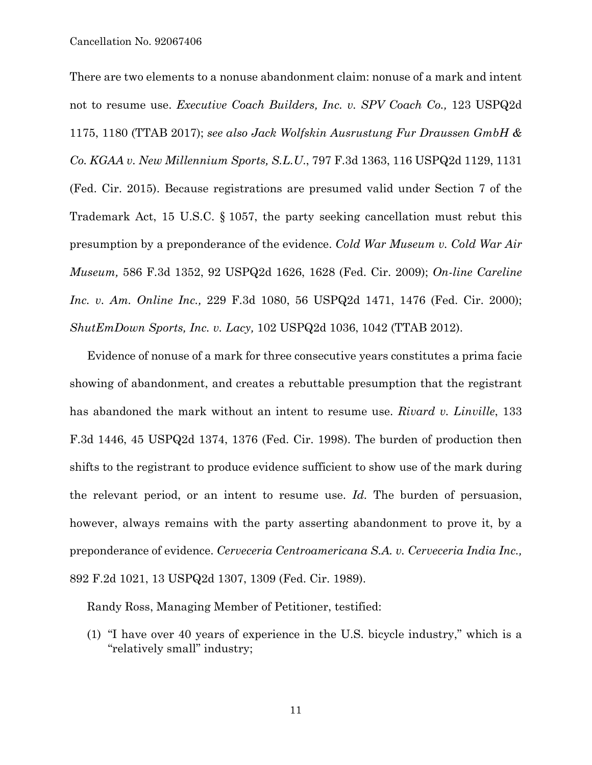There are two elements to a nonuse abandonment claim: nonuse of a mark and intent not to resume use. *Executive Coach Builders, Inc. v. SPV Coach Co.,* 123 USPQ2d 1175, 1180 (TTAB 2017); *see also Jack Wolfskin Ausrustung Fur Draussen GmbH & Co. KGAA v. New Millennium Sports, S.L.U*., 797 F.3d 1363, 116 USPQ2d 1129, 1131 (Fed. Cir. 2015). Because registrations are presumed valid under Section 7 of the Trademark Act, 15 U.S.C. § 1057, the party seeking cancellation must rebut this presumption by a preponderance of the evidence. *Cold War Museum v. Cold War Air Museum,* 586 F.3d 1352, 92 USPQ2d 1626, 1628 (Fed. Cir. 2009); *On-line Careline Inc. v. Am. Online Inc.,* 229 F.3d 1080, 56 USPQ2d 1471, 1476 (Fed. Cir. 2000); *ShutEmDown Sports, Inc. v. Lacy,* 102 USPQ2d 1036, 1042 (TTAB 2012).

Evidence of nonuse of a mark for three consecutive years constitutes a prima facie showing of abandonment, and creates a rebuttable presumption that the registrant has abandoned the mark without an intent to resume use. *Rivard v. Linville*, 133 F.3d 1446, 45 USPQ2d 1374, 1376 (Fed. Cir. 1998). The burden of production then shifts to the registrant to produce evidence sufficient to show use of the mark during the relevant period, or an intent to resume use. *Id.* The burden of persuasion, however, always remains with the party asserting abandonment to prove it, by a preponderance of evidence. *Cerveceria Centroamericana S.A. v. Cerveceria India Inc.,*  892 F.2d 1021, 13 USPQ2d 1307, 1309 (Fed. Cir. 1989).

Randy Ross, Managing Member of Petitioner, testified:

(1) "I have over 40 years of experience in the U.S. bicycle industry," which is a "relatively small" industry;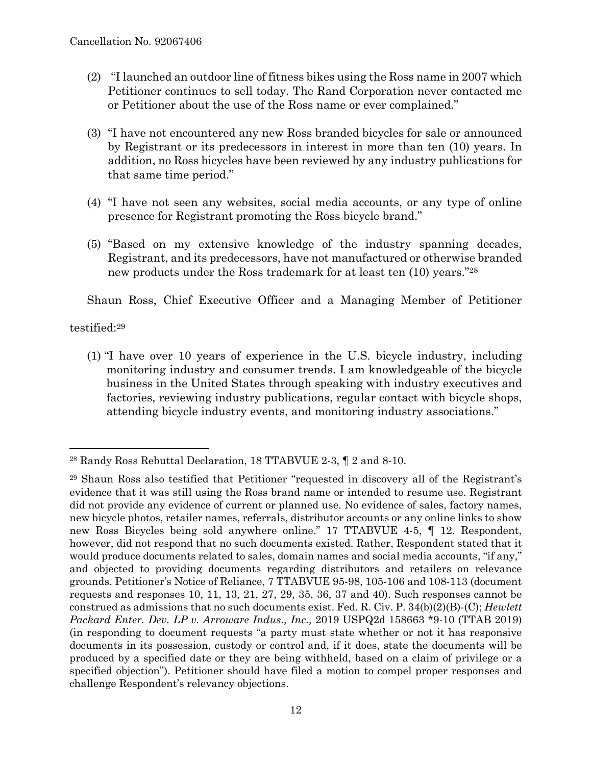- (2) "I launched an outdoor line of fitness bikes using the Ross name in 2007 which Petitioner continues to sell today. The Rand Corporation never contacted me or Petitioner about the use of the Ross name or ever complained."
- (3) "I have not encountered any new Ross branded bicycles for sale or announced by Registrant or its predecessors in interest in more than ten (10) years. In addition, no Ross bicycles have been reviewed by any industry publications for that same time period."
- (4) "I have not seen any websites, social media accounts, or any type of online presence for Registrant promoting the Ross bicycle brand."
- (5) "Based on my extensive knowledge of the industry spanning decades, Registrant, and its predecessors, have not manufactured or otherwise branded new products under the Ross trademark for at least ten (10) years."28

Shaun Ross, Chief Executive Officer and a Managing Member of Petitioner

testified:29

 $\overline{a}$ 

(1) "I have over 10 years of experience in the U.S. bicycle industry, including monitoring industry and consumer trends. I am knowledgeable of the bicycle business in the United States through speaking with industry executives and factories, reviewing industry publications, regular contact with bicycle shops, attending bicycle industry events, and monitoring industry associations."

<sup>28</sup> Randy Ross Rebuttal Declaration, 18 TTABVUE 2-3, ¶ 2 and 8-10.

<sup>29</sup> Shaun Ross also testified that Petitioner "requested in discovery all of the Registrant's evidence that it was still using the Ross brand name or intended to resume use. Registrant did not provide any evidence of current or planned use. No evidence of sales, factory names, new bicycle photos, retailer names, referrals, distributor accounts or any online links to show new Ross Bicycles being sold anywhere online." 17 TTABVUE 4-5, ¶ 12. Respondent, however, did not respond that no such documents existed. Rather, Respondent stated that it would produce documents related to sales, domain names and social media accounts, "if any," and objected to providing documents regarding distributors and retailers on relevance grounds. Petitioner's Notice of Reliance, 7 TTABVUE 95-98, 105-106 and 108-113 (document requests and responses 10, 11, 13, 21, 27, 29, 35, 36, 37 and 40). Such responses cannot be construed as admissions that no such documents exist. Fed. R. Civ. P. 34(b)(2)(B)-(C); *Hewlett Packard Enter. Dev. LP v. Arroware Indus., Inc.,* 2019 USPQ2d 158663 \*9-10 (TTAB 2019) (in responding to document requests "a party must state whether or not it has responsive documents in its possession, custody or control and, if it does, state the documents will be produced by a specified date or they are being withheld, based on a claim of privilege or a specified objection"). Petitioner should have filed a motion to compel proper responses and challenge Respondent's relevancy objections.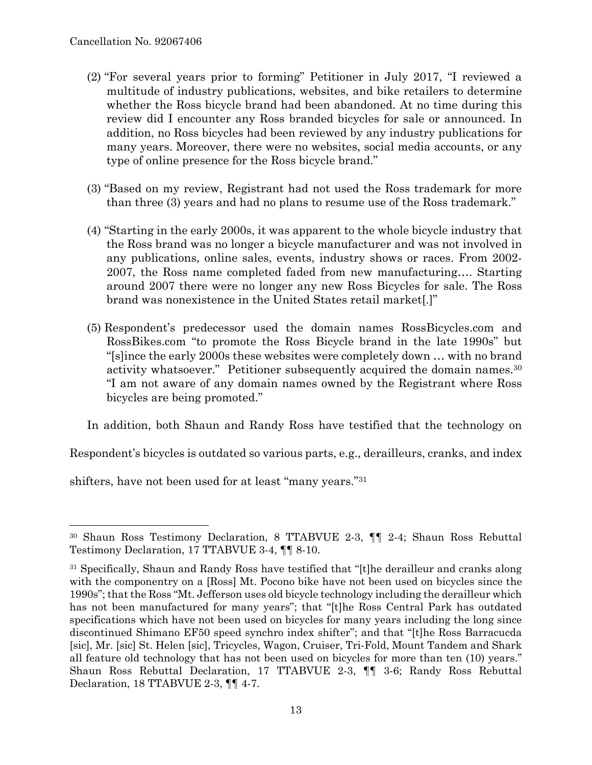- (2) "For several years prior to forming" Petitioner in July 2017, "I reviewed a multitude of industry publications, websites, and bike retailers to determine whether the Ross bicycle brand had been abandoned. At no time during this review did I encounter any Ross branded bicycles for sale or announced. In addition, no Ross bicycles had been reviewed by any industry publications for many years. Moreover, there were no websites, social media accounts, or any type of online presence for the Ross bicycle brand."
- (3) "Based on my review, Registrant had not used the Ross trademark for more than three (3) years and had no plans to resume use of the Ross trademark."
- (4) "Starting in the early 2000s, it was apparent to the whole bicycle industry that the Ross brand was no longer a bicycle manufacturer and was not involved in any publications, online sales, events, industry shows or races. From 2002- 2007, the Ross name completed faded from new manufacturing…. Starting around 2007 there were no longer any new Ross Bicycles for sale. The Ross brand was nonexistence in the United States retail market[.]"
- (5) Respondent's predecessor used the domain names RossBicycles.com and RossBikes.com "to promote the Ross Bicycle brand in the late 1990s" but "[s]ince the early 2000s these websites were completely down … with no brand activity whatsoever." Petitioner subsequently acquired the domain names.<sup>30</sup> "I am not aware of any domain names owned by the Registrant where Ross bicycles are being promoted."

In addition, both Shaun and Randy Ross have testified that the technology on

Respondent's bicycles is outdated so various parts, e.g., derailleurs, cranks, and index

shifters, have not been used for at least "many years."31

<sup>30</sup> Shaun Ross Testimony Declaration, 8 TTABVUE 2-3, ¶¶ 2-4; Shaun Ross Rebuttal Testimony Declaration, 17 TTABVUE 3-4, ¶¶ 8-10.

<sup>&</sup>lt;sup>31</sup> Specifically, Shaun and Randy Ross have testified that "[t]he derailleur and cranks along with the componentry on a [Ross] Mt. Pocono bike have not been used on bicycles since the 1990s"; that the Ross "Mt. Jefferson uses old bicycle technology including the derailleur which has not been manufactured for many years"; that "[t]he Ross Central Park has outdated specifications which have not been used on bicycles for many years including the long since discontinued Shimano EF50 speed synchro index shifter"; and that "[t]he Ross Barracucda [sic], Mr. [sic] St. Helen [sic], Tricycles, Wagon, Cruiser, Tri-Fold, Mount Tandem and Shark all feature old technology that has not been used on bicycles for more than ten (10) years." Shaun Ross Rebuttal Declaration, 17 TTABVUE 2-3, ¶¶ 3-6; Randy Ross Rebuttal Declaration, 18 TTABVUE 2-3, ¶¶ 4-7.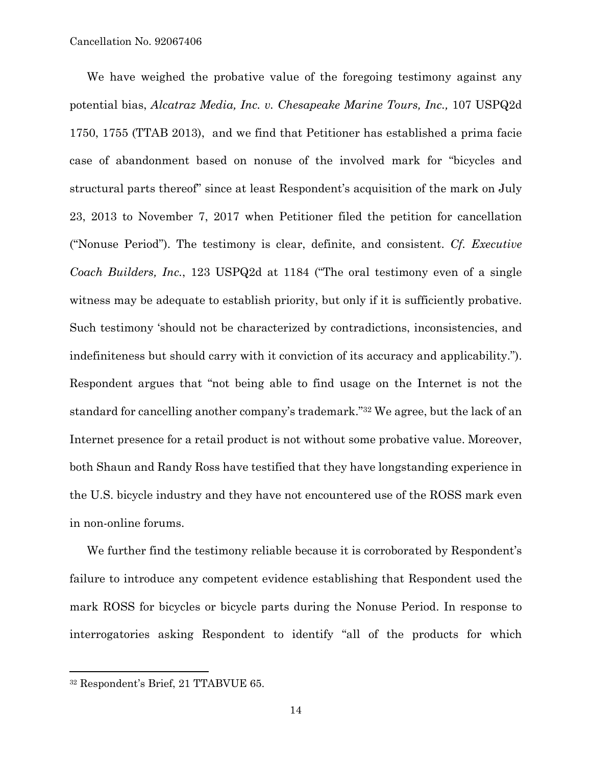Cancellation No. 92067406

We have weighed the probative value of the foregoing testimony against any potential bias, *Alcatraz Media, Inc. v. Chesapeake Marine Tours, Inc.,* 107 USPQ2d 1750, 1755 (TTAB 2013), and we find that Petitioner has established a prima facie case of abandonment based on nonuse of the involved mark for "bicycles and structural parts thereof" since at least Respondent's acquisition of the mark on July 23, 2013 to November 7, 2017 when Petitioner filed the petition for cancellation ("Nonuse Period"). The testimony is clear, definite, and consistent. *Cf. Executive Coach Builders, Inc.*, 123 USPQ2d at 1184 ("The oral testimony even of a single witness may be adequate to establish priority, but only if it is sufficiently probative. Such testimony 'should not be characterized by contradictions, inconsistencies, and indefiniteness but should carry with it conviction of its accuracy and applicability."). Respondent argues that "not being able to find usage on the Internet is not the standard for cancelling another company's trademark."32 We agree, but the lack of an Internet presence for a retail product is not without some probative value. Moreover, both Shaun and Randy Ross have testified that they have longstanding experience in the U.S. bicycle industry and they have not encountered use of the ROSS mark even in non-online forums.

We further find the testimony reliable because it is corroborated by Respondent's failure to introduce any competent evidence establishing that Respondent used the mark ROSS for bicycles or bicycle parts during the Nonuse Period. In response to interrogatories asking Respondent to identify "all of the products for which

1

<sup>32</sup> Respondent's Brief, 21 TTABVUE 65.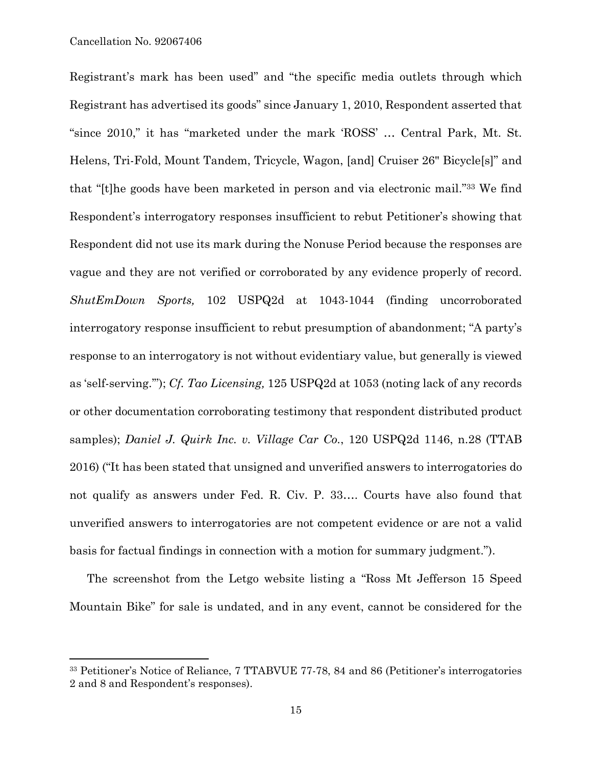1

Registrant's mark has been used" and "the specific media outlets through which Registrant has advertised its goods" since January 1, 2010, Respondent asserted that "since 2010," it has "marketed under the mark 'ROSS' … Central Park, Mt. St. Helens, Tri-Fold, Mount Tandem, Tricycle, Wagon, [and] Cruiser 26" Bicycle[s]" and that "[t]he goods have been marketed in person and via electronic mail."33 We find Respondent's interrogatory responses insufficient to rebut Petitioner's showing that Respondent did not use its mark during the Nonuse Period because the responses are vague and they are not verified or corroborated by any evidence properly of record. *ShutEmDown Sports,* 102 USPQ2d at 1043-1044 (finding uncorroborated interrogatory response insufficient to rebut presumption of abandonment; "A party's response to an interrogatory is not without evidentiary value, but generally is viewed as 'self-serving.'"); *Cf. Tao Licensing,* 125 USPQ2d at 1053 (noting lack of any records or other documentation corroborating testimony that respondent distributed product samples); *Daniel J. Quirk Inc. v. Village Car Co.*, 120 USPQ2d 1146, n.28 (TTAB 2016) ("It has been stated that unsigned and unverified answers to interrogatories do not qualify as answers under Fed. R. Civ. P. 33…. Courts have also found that unverified answers to interrogatories are not competent evidence or are not a valid basis for factual findings in connection with a motion for summary judgment.").

The screenshot from the Letgo website listing a "Ross Mt Jefferson 15 Speed Mountain Bike" for sale is undated, and in any event, cannot be considered for the

<sup>33</sup> Petitioner's Notice of Reliance, 7 TTABVUE 77-78, 84 and 86 (Petitioner's interrogatories 2 and 8 and Respondent's responses).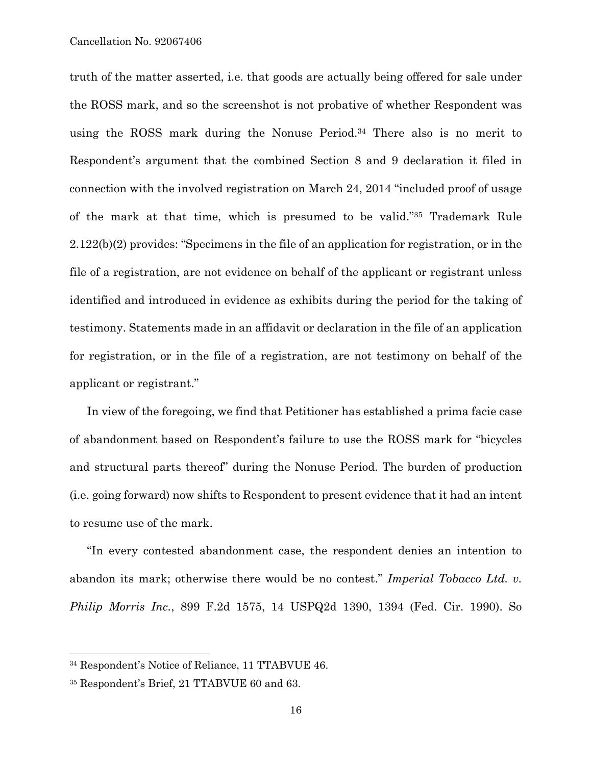truth of the matter asserted, i.e. that goods are actually being offered for sale under the ROSS mark, and so the screenshot is not probative of whether Respondent was using the ROSS mark during the Nonuse Period.34 There also is no merit to Respondent's argument that the combined Section 8 and 9 declaration it filed in connection with the involved registration on March 24, 2014 "included proof of usage of the mark at that time, which is presumed to be valid."35 Trademark Rule 2.122(b)(2) provides: "Specimens in the file of an application for registration, or in the file of a registration, are not evidence on behalf of the applicant or registrant unless identified and introduced in evidence as exhibits during the period for the taking of testimony. Statements made in an affidavit or declaration in the file of an application for registration, or in the file of a registration, are not testimony on behalf of the applicant or registrant."

In view of the foregoing, we find that Petitioner has established a prima facie case of abandonment based on Respondent's failure to use the ROSS mark for "bicycles and structural parts thereof" during the Nonuse Period. The burden of production (i.e. going forward) now shifts to Respondent to present evidence that it had an intent to resume use of the mark.

"In every contested abandonment case, the respondent denies an intention to abandon its mark; otherwise there would be no contest." *Imperial Tobacco Ltd. v. Philip Morris Inc.*, 899 F.2d 1575, 14 USPQ2d 1390, 1394 (Fed. Cir. 1990). So

<sup>34</sup> Respondent's Notice of Reliance, 11 TTABVUE 46.

<sup>35</sup> Respondent's Brief, 21 TTABVUE 60 and 63.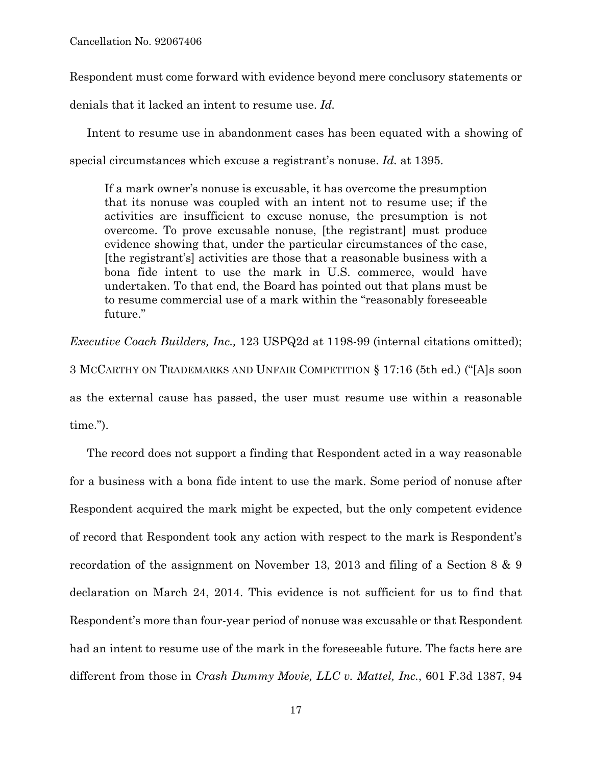Respondent must come forward with evidence beyond mere conclusory statements or

denials that it lacked an intent to resume use. *Id.*

Intent to resume use in abandonment cases has been equated with a showing of special circumstances which excuse a registrant's nonuse. *Id.* at 1395.

If a mark owner's nonuse is excusable, it has overcome the presumption that its nonuse was coupled with an intent not to resume use; if the activities are insufficient to excuse nonuse, the presumption is not overcome. To prove excusable nonuse, [the registrant] must produce evidence showing that, under the particular circumstances of the case, [the registrant's] activities are those that a reasonable business with a bona fide intent to use the mark in U.S. commerce, would have undertaken. To that end, the Board has pointed out that plans must be to resume commercial use of a mark within the "reasonably foreseeable future."

*Executive Coach Builders, Inc.,* 123 USPQ2d at 1198-99 (internal citations omitted); 3 MCCARTHY ON TRADEMARKS AND UNFAIR COMPETITION § 17:16 (5th ed.) ("[A]s soon as the external cause has passed, the user must resume use within a reasonable

time.").

The record does not support a finding that Respondent acted in a way reasonable for a business with a bona fide intent to use the mark. Some period of nonuse after Respondent acquired the mark might be expected, but the only competent evidence of record that Respondent took any action with respect to the mark is Respondent's recordation of the assignment on November 13, 2013 and filing of a Section 8 & 9 declaration on March 24, 2014. This evidence is not sufficient for us to find that Respondent's more than four-year period of nonuse was excusable or that Respondent had an intent to resume use of the mark in the foreseeable future. The facts here are different from those in *Crash Dummy Movie, LLC v. Mattel, Inc.*, 601 F.3d 1387, 94